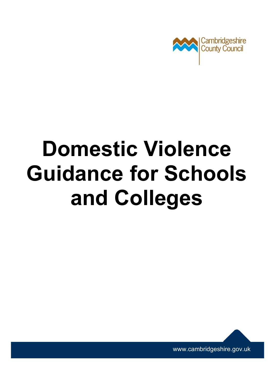

# **Domestic Violence Guidance for Schools and Colleges**



[www.cambridgeshire.gov.uk](http://www.cambridgeshire.gov.uk/)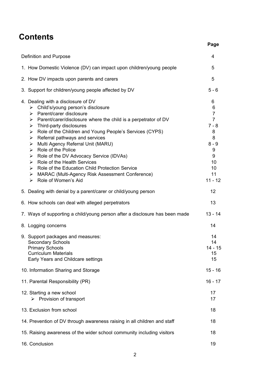## **Contents**

| Definition and Purpose                                                                                                                                                                                                                                                                                                                                                                                                                                                                                                                                                                                                                                                                                       | 4                                                                                                                   |
|--------------------------------------------------------------------------------------------------------------------------------------------------------------------------------------------------------------------------------------------------------------------------------------------------------------------------------------------------------------------------------------------------------------------------------------------------------------------------------------------------------------------------------------------------------------------------------------------------------------------------------------------------------------------------------------------------------------|---------------------------------------------------------------------------------------------------------------------|
| 1. How Domestic Violence (DV) can impact upon children/young people                                                                                                                                                                                                                                                                                                                                                                                                                                                                                                                                                                                                                                          | 5                                                                                                                   |
| 2. How DV impacts upon parents and carers                                                                                                                                                                                                                                                                                                                                                                                                                                                                                                                                                                                                                                                                    | 5                                                                                                                   |
| 3. Support for children/young people affected by DV                                                                                                                                                                                                                                                                                                                                                                                                                                                                                                                                                                                                                                                          | $5 - 6$                                                                                                             |
| 4. Dealing with a disclosure of DV<br>$\triangleright$ Child's/young person's disclosure<br>Parent/carer disclosure<br>≻<br>$\triangleright$ Parent/carer/disclosure where the child is a perpetrator of DV<br>$\triangleright$ Third-party disclosures<br>Role of the Children and Young People's Services (CYPS)<br>≻<br>Referral pathways and services<br>≻<br>Multi Agency Referral Unit (MARU)<br>➤<br>$\triangleright$ Role of the Police<br>> Role of the DV Advocacy Service (IDVAs)<br>$\triangleright$ Role of the Health Services<br>$\triangleright$ Role of the Education Child Protection Service<br>> MARAC (Multi-Agency Risk Assessment Conference)<br>$\triangleright$ Role of Women's Aid | 6<br>6<br>$\overline{7}$<br>$\overline{7}$<br>$7 - 8$<br>8<br>8<br>$8 - 9$<br>9<br>9<br>10<br>10<br>11<br>$11 - 12$ |
| 5. Dealing with denial by a parent/carer or child/young person                                                                                                                                                                                                                                                                                                                                                                                                                                                                                                                                                                                                                                               | 12                                                                                                                  |
| 6. How schools can deal with alleged perpetrators                                                                                                                                                                                                                                                                                                                                                                                                                                                                                                                                                                                                                                                            | 13                                                                                                                  |
| 7. Ways of supporting a child/young person after a disclosure has been made                                                                                                                                                                                                                                                                                                                                                                                                                                                                                                                                                                                                                                  | $13 - 14$                                                                                                           |
| 8. Logging concerns                                                                                                                                                                                                                                                                                                                                                                                                                                                                                                                                                                                                                                                                                          | 14                                                                                                                  |
| 9. Support packages and measures:<br><b>Secondary Schools</b><br><b>Primary Schools</b><br><b>Curriculum Materials</b><br>Early Years and Childcare settings                                                                                                                                                                                                                                                                                                                                                                                                                                                                                                                                                 | 14<br>14<br>$14 - 15$<br>15<br>15                                                                                   |
| 10. Information Sharing and Storage                                                                                                                                                                                                                                                                                                                                                                                                                                                                                                                                                                                                                                                                          | $15 - 16$                                                                                                           |
| 11. Parental Responsibility (PR)                                                                                                                                                                                                                                                                                                                                                                                                                                                                                                                                                                                                                                                                             | $16 - 17$                                                                                                           |
| 12. Starting a new school<br>Provision of transport<br>⋗                                                                                                                                                                                                                                                                                                                                                                                                                                                                                                                                                                                                                                                     | 17<br>17                                                                                                            |
| 13. Exclusion from school                                                                                                                                                                                                                                                                                                                                                                                                                                                                                                                                                                                                                                                                                    | 18                                                                                                                  |
| 14. Prevention of DV through awareness raising in all children and staff                                                                                                                                                                                                                                                                                                                                                                                                                                                                                                                                                                                                                                     | 18                                                                                                                  |
| 15. Raising awareness of the wider school community including visitors                                                                                                                                                                                                                                                                                                                                                                                                                                                                                                                                                                                                                                       | 18                                                                                                                  |
| 16. Conclusion                                                                                                                                                                                                                                                                                                                                                                                                                                                                                                                                                                                                                                                                                               | 19                                                                                                                  |

**Page**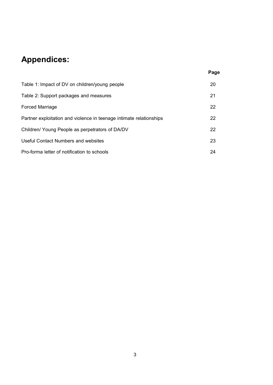# **Appendices:**

|                                                                     | Page |
|---------------------------------------------------------------------|------|
| Table 1: Impact of DV on children/young people                      | 20   |
| Table 2: Support packages and measures                              | 21   |
| <b>Forced Marriage</b>                                              | 22   |
| Partner exploitation and violence in teenage intimate relationships | 22   |
| Children/ Young People as perpetrators of DA/DV                     | 22   |
| Useful Contact Numbers and websites                                 | 23   |
| Pro-forma letter of notification to schools                         | 24   |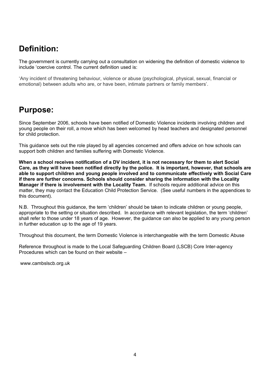# **Definition:**

The government is currently carrying out a consultation on widening the definition of domestic violence to include 'coercive control. The current definition used is:

'Any incident of threatening behaviour, violence or abuse (psychological, physical, sexual, financial or emotional) between adults who are, or have been, intimate partners or family members'.

## **Purpose:**

Since September 2006, schools have been notified of Domestic Violence incidents involving children and young people on their roll, a move which has been welcomed by head teachers and designated personnel for child protection.

This guidance sets out the role played by all agencies concerned and offers advice on how schools can support both children and families suffering with Domestic Violence.

**When a school receives notification of a DV incident, it is not necessary for them to alert Social Care, as they will have been notified directly by the police. It is important, however, that schools are able to support children and young people involved and to communicate effectively with Social Care if there are further concerns. Schools should consider sharing the information with the Locality Manager if there is involvement with the Locality Team.** If schools require additional advice on this matter, they may contact the Education Child Protection Service. (See useful numbers in the appendices to this document).

N.B. Throughout this guidance, the term 'children' should be taken to indicate children or young people, appropriate to the setting or situation described. In accordance with relevant legislation, the term 'children' shall refer to those under 18 years of age. However, the guidance can also be applied to any young person in further education up to the age of 19 years.

Throughout this document, the term Domestic Violence is interchangeable with the term Domestic Abuse

Reference throughout is made to the Local Safeguarding Children Board (LSCB) Core Inter-agency Procedures which can be found on their website –

[www.cambslscb.org.uk](http://www.cambslscb.org.uk/)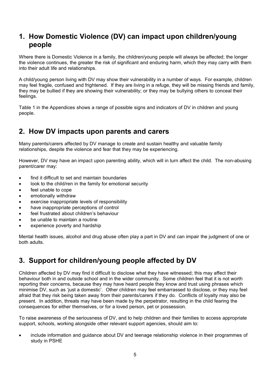## **1. How Domestic Violence (DV) can impact upon children/young people**

Where there is Domestic Violence in a family, the children/young people will always be affected; the longer the violence continues, the greater the risk of significant and enduring harm, which they may carry with them into their adult life and relationships.

A child/young person living with DV may show their vulnerability in a number of ways. For example, children may feel fragile, confused and frightened. If they are living in a refuge, they will be missing friends and family, they may be bullied if they are showing their vulnerability; or they may be bullying others to conceal their feelings.

Table 1 in the Appendices shows a range of possible signs and indicators of DV in children and young people.

## **2. How DV impacts upon parents and carers**

Many parents/carers affected by DV manage to create and sustain healthy and valuable family relationships, despite the violence and fear that they may be experiencing.

However, DV may have an impact upon parenting ability, which will in turn affect the child. The non-abusing parent/carer may:

- find it difficult to set and maintain boundaries
- look to the child/ren in the family for emotional security
- feel unable to cope
- emotionally withdraw
- exercise inappropriate levels of responsibility
- have inappropriate perceptions of control
- feel frustrated about children's behaviour
- be unable to maintain a routine
- experience poverty and hardship

Mental health issues, alcohol and drug abuse often play a part in DV and can impair the judgment of one or both adults.

## **3. Support for children/young people affected by DV**

Children affected by DV may find it difficult to disclose what they have witnessed; this may affect their behaviour both in and outside school and in the wider community. Some children feel that it is not worth reporting their concerns, because they may have heard people they know and trust using phrases which minimise DV, such as 'just a domestic'. Other children may feel embarrassed to disclose, or they may feel afraid that they risk being taken away from their parents/carers if they do. Conflicts of loyalty may also be present. In addition, threats may have been made by the perpetrator, resulting in the child fearing the consequences for either themselves, or for a loved person, pet or possession.

To raise awareness of the seriousness of DV, and to help children and their families to access appropriate support, schools, working alongside other relevant support agencies, should aim to:

 include information and guidance about DV and teenage relationship violence in their programmes of study in PSHE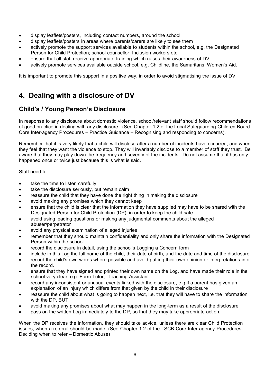- display leaflets/posters, including contact numbers, around the school
- display leaflets/posters in areas where parents/carers are likely to see them
- actively promote the support services available to students within the school, e.g. the Designated Person for Child Protection; school counsellor; Inclusion workers etc.
- ensure that all staff receive appropriate training which raises their awareness of DV
- actively promote services available outside school, e.g. Childline, the Samaritans, Women's Aid.

It is important to promote this support in a positive way, in order to avoid stigmatising the issue of DV.

## **4. Dealing with a disclosure of DV**

## **Child's / Young Person's Disclosure**

In response to any disclosure about domestic violence, school/relevant staff should follow recommendations of good practice in dealing with any disclosure. (See Chapter 1.2 of the Local Safeguarding Children Board Core Inter-agency Procedures – Practice Guidance – Recognising and responding to concerns).

Remember that it is very likely that a child will disclose after a number of incidents have occurred, and when they feel that they want the violence to stop. They will invariably disclose to a member of staff they trust. Be aware that they may play down the frequency and severity of the incidents. Do not assume that it has only happened once or twice just because this is what is said.

Staff need to:

- take the time to listen carefully
- take the disclosure seriously, but remain calm
- reassure the child that they have done the right thing in making the disclosure
- avoid making any promises which they cannot keep
- ensure that the child is clear that the information they have supplied may have to be shared with the Designated Person for Child Protection (DP), in order to keep the child safe
- avoid using leading questions or making any judgmental comments about the alleged abuser/perpetrator
- avoid any physical examination of alleged injuries
- remember that they should maintain confidentiality and only share the information with the Designated Person within the school
- record the disclosure in detail, using the school's Logging a Concern form
- include in this Log the full name of the child, their date of birth, and the date and time of the disclosure
- record the child's own words where possible and avoid putting their own opinion or interpretations into the record.
- ensure that they have signed and printed their own name on the Log, and have made their role in the school very clear, e.g. Form Tutor, Teaching Assistant
- record any inconsistent or unusual events linked with the disclosure, e.g if a parent has given an explanation of an injury which differs from that given by the child in their disclosure
- reassure the child about what is going to happen next, i.e. that they will have to share the information with the DP, BUT
- avoid making any promises about what may happen in the long-term as a result of the disclosure
- pass on the written Log immediately to the DP, so that they may take appropriate action.

When the DP receives the information, they should take advice, unless there are clear Child Protection issues, when a referral should be made. (See Chapter 1.2 of the LSCB Core Inter-agency Procedures: Deciding when to refer – Domestic Abuse)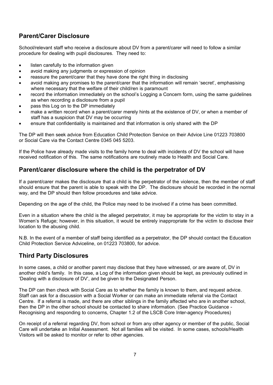## **Parent/Carer Disclosure**

School/relevant staff who receive a disclosure about DV from a parent/carer will need to follow a similar procedure for dealing with pupil disclosures. They need to:

- listen carefully to the information given
- avoid making any judgments or expression of opinion
- reassure the parent/carer that they have done the right thing in disclosing
- avoid making any promises to the parent/carer that the information will remain 'secret', emphasising where necessary that the welfare of their child/ren is paramount
- record the information immediately on the school's Logging a Concern form, using the same guidelines as when recording a disclosure from a pupil
- pass this Log on to the DP immediately
- make a written record when a parent/carer merely hints at the existence of DV, or when a member of staff has a suspicion that DV may be occurring
- ensure that confidentiality is maintained and that information is only shared with the DP

The DP will then seek advice from Education Child Protection Service on their Advice Line 01223 703800 or Social Care via the Contact Centre 0345 045 5203.

If the Police have already made visits to the family home to deal with incidents of DV the school will have received notification of this. The same notifications are routinely made to Health and Social Care.

#### **Parent/carer disclosure where the child is the perpetrator of DV**

If a parent/carer makes the disclosure that a child is the perpetrator of the violence, then the member of staff should ensure that the parent is able to speak with the DP. The disclosure should be recorded in the normal way, and the DP should then follow procedures and take advice.

Depending on the age of the child, the Police may need to be involved if a crime has been committed.

Even in a situation where the child is the alleged perpetrator, it may be appropriate for the victim to stay in a Women's Refuge; however, in this situation, it would be entirely inappropriate for the victim to disclose their location to the abusing child.

N.B. In the event of a member of staff being identified as a perpetrator, the DP should contact the Education Child Protection Service Adviceline, on 01223 703800, for advice.

#### **Third Party Disclosures**

In some cases, a child or another parent may disclose that they have witnessed, or are aware of, DV in another child's family. In this case, a Log of the information given should be kept, as previously outlined in 'Dealing with a disclosure of DV', and be given to the Designated Person.

The DP can then check with Social Care as to whether the family is known to them, and request advice. Staff can ask for a discussion with a Social Worker or can make an immediate referral via the Contact Centre. If a referral is made, and there are other siblings in the family affected who are in another school, then the DP in the other school should be contacted to share information. (See Practice Guidance - Recognising and responding to concerns, Chapter 1.2 of the LSCB Core Inter-agency Procedures)

On receipt of a referral regarding DV, from school or from any other agency or member of the public, Social Care will undertake an Initial Assessment. Not all families will be visited. In some cases, schools/Health Visitors will be asked to monitor or refer to other agencies.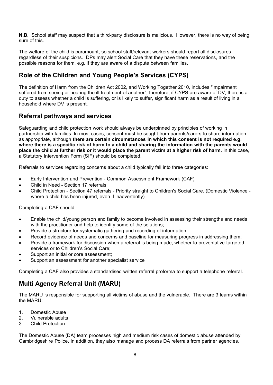**N.B.** School staff may suspect that a third-party disclosure is malicious. However, there is no way of being sure of this.

The welfare of the child is paramount, so school staff/relevant workers should report all disclosures regardless of their suspicions. DPs may alert Social Care that they have these reservations, and the possible reasons for them, e.g. if they are aware of a dispute between families.

## **Role of the Children and Young People's Services (CYPS)**

The definition of Harm from the Children Act 2002, and Working Together 2010, includes "impairment suffered from seeing or hearing the ill-treatment of another", therefore, if CYPS are aware of DV, there is a duty to assess whether a child is suffering, or is likely to suffer, significant harm as a result of living in a household where DV is present.

#### **Referral pathways and services**

Safeguarding and child protection work should always be underpinned by principles of working in partnership with families. In most cases, consent must be sought from parents/carers to share information as appropriate, although **there are certain circumstances in which this consent is not required e.g.**  where there is a specific risk of harm to a child and sharing the information with the parents would place the child at further risk or it would place the parent victim at a higher risk of harm. In this case, a Statutory Intervention Form (SIF) should be completed.

Referrals to services regarding concerns about a child typically fall into three categories:

- Early Intervention and Prevention Common Assessment Framework (CAF)
- Child in Need Section 17 referrals
- Child Protection Section 47 referrals Priority straight to Children's Social Care. (Domestic Violence where a child has been injured, even if inadvertently)

Completing a CAF should:

- Enable the child/young person and family to become involved in assessing their strengths and needs with the practitioner and help to identify some of the solutions;
- Provide a structure for systematic gathering and recording of information;
- Record evidence of needs and concerns and baseline for measuring progress in addressing them;
- Provide a framework for discussion when a referral is being made, whether to preventative targeted services or to Children's Social Care;
- Support an initial or core assessment;
- Support an assessment for another specialist service

Completing a CAF also provides a standardised written referral proforma to support a telephone referral.

#### **Multi Agency Referral Unit (MARU)**

The MARU is responsible for supporting all victims of abuse and the vulnerable. There are 3 teams within the MARU:

- 1. Domestic Abuse
- 2. Vulnerable adults
- 3. Child Protection

The Domestic Abuse (DA) team processes high and medium risk cases of domestic abuse attended by Cambridgeshire Police. In addition, they also manage and process DA referrals from partner agencies.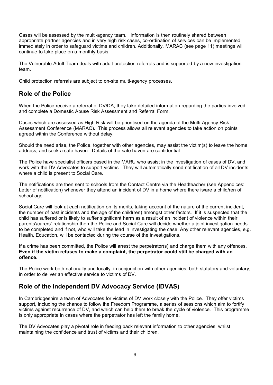Cases will be assessed by the multi-agency team. Information is then routinely shared between appropriate partner agencies and in very high risk cases, co-ordination of services can be implemented immediately in order to safeguard victims and children. Additionally, MARAC (see page 11) meetings will continue to take place on a monthly basis.

The Vulnerable Adult Team deals with adult protection referrals and is supported by a new investigation team.

Child protection referrals are subject to on-site multi-agency processes.

## **Role of the Police**

When the Police receive a referral of DV/DA, they take detailed information regarding the parties involved and complete a Domestic Abuse Risk Assessment and Referral Form.

Cases which are assessed as High Risk will be prioritised on the agenda of the Multi-Agency Risk Assessment Conference (MARAC). This process allows all relevant agencies to take action on points agreed within the Conference without delay.

Should the need arise, the Police, together with other agencies, may assist the victim(s) to leave the home address, and seek a safe haven. Details of the safe haven are confidential.

The Police have specialist officers based in the MARU who assist in the investigation of cases of DV, and work with the DV Advocates to support victims. They will automatically send notification of all DV incidents where a child is present to Social Care.

The notifications are then sent to schools from the Contact Centre via the Headteacher (see Appendices: Letter of notification) whenever they attend an incident of DV in a home where there is/are a child/ren of school age.

Social Care will look at each notification on its merits, taking account of the nature of the current incident, the number of past incidents and the age of the child(ren) amongst other factors. If it is suspected that the child has suffered or is likely to suffer significant harm as a result of an incident of violence within their parents'/carers' relationship then the Police and Social Care will decide whether a joint investigation needs to be completed and if not, who will take the lead in investigating the case. Any other relevant agencies, e.g. Health, Education, will be contacted during the course of the investigations.

If a crime has been committed, the Police will arrest the perpetrator(s) and charge them with any offences. **Even if the victim refuses to make a complaint, the perpetrator could still be charged with an offence.**

The Police work both nationally and locally, in conjunction with other agencies, both statutory and voluntary, in order to deliver an effective service to victims of DV.

#### **Role of the Independent DV Advocacy Service (IDVAS)**

In Cambridgeshire a team of Advocates for victims of DV work closely with the Police. They offer victims support, including the chance to follow the Freedom Programme, a series of sessions which aim to fortify victims against recurrence of DV, and which can help them to break the cycle of violence. This programme is only appropriate in cases where the perpetrator has left the family home.

The DV Advocates play a pivotal role in feeding back relevant information to other agencies, whilst maintaining the confidence and trust of victims and their children.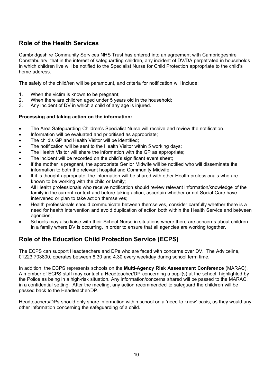## **Role of the Health Services**

Cambridgeshire Community Services NHS Trust has entered into an agreement with Cambridgeshire Constabulary, that in the interest of safeguarding children, any incident of DV/DA perpetrated in households in which children live will be notified to the Specialist Nurse for Child Protection appropriate to the child's home address.

The safety of the child/ren will be paramount, and criteria for notification will include:

- 1. When the victim is known to be pregnant;
- 2. When there are children aged under 5 years old in the household;
- 3. Any incident of DV in which a child of any age is injured.

#### **Processing and taking action on the information:**

- The Area Safeguarding Children's Specialist Nurse will receive and review the notification.
- Information will be evaluated and prioritised as appropriate;
- The child's GP and Health Visitor will be identified;
- The notification will be sent to the Health Visitor within 5 working days;
- The Health Visitor will share the information with the GP as appropriate;
- The incident will be recorded on the child's significant event sheet;
- If the mother is pregnant, the appropriate Senior Midwife will be notified who will disseminate the information to both the relevant hospital and Community Midwife;
- If it is thought appropriate, the information will be shared with other Health professionals who are known to be working with the child or family;
- All Health professionals who receive notification should review relevant information/knowledge of the family in the current context and before taking action, ascertain whether or not Social Care have intervened or plan to take action themselves;
- Health professionals should communicate between themselves, consider carefully whether there is a need for health intervention and avoid duplication of action both within the Health Service and between agencies;
- Schools may also liaise with their School Nurse in situations where there are concerns about children in a family where DV is occurring, in order to ensure that all agencies are working together.

## **Role of the Education Child Protection Service (ECPS)**

The ECPS can support Headteachers and DPs who are faced with concerns over DV. The Adviceline, 01223 703800, operates between 8.30 and 4.30 every weekday during school term time.

In addition, the ECPS represents schools on the **Multi-Agency Risk Assessment Conference** (MARAC). A member of ECPS staff may contact a Headteacher/DP concerning a pupil(s) at the school, highlighted by the Police as being in a high-risk situation. Any information/concerns shared will be passed to the MARAC, in a confidential setting. After the meeting, any action recommended to safeguard the child/ren will be passed back to the Headteacher/DP.

Headteachers/DPs should only share information within school on a 'need to know' basis, as they would any other information concerning the safeguarding of a child.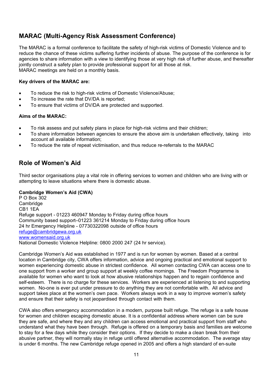## **MARAC (Multi-Agency Risk Assessment Conference)**

The MARAC is a formal conference to facilitate the safety of high-risk victims of Domestic Violence and to reduce the chance of these victims suffering further incidents of abuse. The purpose of the conference is for agencies to share information with a view to identifying those at very high risk of further abuse, and thereafter jointly construct a safety plan to provide professional support for all those at risk. MARAC meetings are held on a monthly basis.

#### **Key drivers of the MARAC are:**

- To reduce the risk to high-risk victims of Domestic Violence/Abuse;
- To increase the rate that DV/DA is reported;
- To ensure that victims of DV/DA are protected and supported.

#### **Aims of the MARAC:**

- To risk assess and put safety plans in place for high-risk victims and their children;
- To share information between agencies to ensure the above aim is undertaken effectively, taking into account all available information;
- To reduce the rate of repeat victimisation, and thus reduce re-referrals to the MARAC

#### **Role of Women's Aid**

Third sector organisations play a vital role in offering services to women and children who are living with or attempting to leave situations where there is domestic abuse.

#### **Cambridge Women's Aid (CWA)**

P O Box 302 **Cambridge** CB1 1EA Refuge support - 01223 460947 Monday to Friday during office hours Community based support–01223 361214 Monday to Friday during office hours 24 hr Emergency Helpline - 07730322098 outside of office hours [refuge@cambridgewa.org.uk](mailto:refuge@cambridgewa.org.uk) [www.womensaid.org.uk](http://www.womensaid.org.uk/) National Domestic Violence Helpline: 0800 2000 247 (24 hr service).

Cambridge Women's Aid was established in 1977 and is run for women by women. Based at a central location in Cambridge city, CWA offers information, advice and ongoing practical and emotional support to women experiencing domestic abuse in strictest confidence. All women contacting CWA can access one to one support from a worker and group support at weekly coffee mornings. The Freedom Programme is available for women who want to look at how abusive relationships happen and to regain confidence and self-esteem. There is no charge for these services. Workers are experienced at listening to and supporting women. No-one is ever put under pressure to do anything they are not comfortable with. All advice and support takes place at the women's own pace. Workers always work in a way to improve women's safety and ensure that their safety is not jeopardised through contact with them.

CWA also offers emergency accommodation in a modern, purpose built refuge. The refuge is a safe house for women and children escaping domestic abuse. It is a confidential address where women can be sure they are safe, and where they and any children can access emotional and practical support from staff who understand what they have been through. Refuge is offered on a temporary basis and families are welcome to stay for a few days while they consider their options. If they decide to make a clean break from their abusive partner, they will normally stay in refuge until offered alternative accommodation. The average stay is under 6 months. The new Cambridge refuge opened in 2005 and offers a high standard of en-suite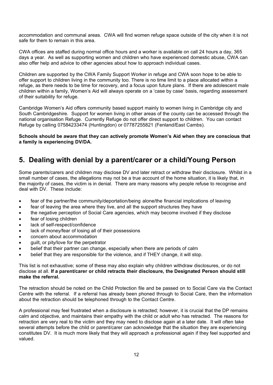accommodation and communal areas. CWA will find women refuge space outside of the city when it is not safe for them to remain in this area.

CWA offices are staffed during normal office hours and a worker is available on call 24 hours a day, 365 days a year. As well as supporting women and children who have experienced domestic abuse, CWA can also offer help and advice to other agencies about how to approach individual cases.

Children are supported by the CWA Family Support Worker in refuge and CWA soon hope to be able to offer support to children living in the community too. There is no time limit to a place allocated within a refuge, as there needs to be time for recovery, and a focus upon future plans. If there are adolescent male children within a family, Women's Aid will always operate on a 'case by case' basis, regarding assessment of their suitability for refuge.

Cambridge Women's Aid offers community based support mainly to women living in Cambridge city and South Cambridgeshire. Support for women living in other areas of the county can be accessed through the national organisation Refuge. Currently Refuge do not offer direct support to children. You can contact Refuge by calling 07584233474 (Huntingdon) or 07787255821 (Fenland/East Cambs).

**Schools should be aware that they can actively promote Women's Aid when they are conscious that a family is experiencing DV/DA.**

## **5. Dealing with denial by a parent/carer or a child/Young Person**

Some parents/carers and children may disclose DV and later retract or withdraw their disclosure. Whilst in a small number of cases, the allegations may not be a true account of the home situation, it is likely that, in the majority of cases, the victim is in denial. There are many reasons why people refuse to recognise and deal with DV. These include:

- fear of the partner/the community/deportation/being alone/the financial implications of leaving
- fear of leaving the area where they live, and all the support structures they have
- the negative perception of Social Care agencies, which may become involved if they disclose
- fear of losing children
- lack of self-respect/confidence
- lack of money/fear of losing all of their possessions
- concern about accommodation
- guilt, or pity/love for the perpetrator
- belief that their partner can change, especially when there are periods of calm
- belief that they are responsible for the violence, and if THEY change, it will stop.

This list is not exhaustive; some of these may also explain why children withdraw disclosures, or do not disclose at all. **If a parent/carer or child retracts their disclosure, the Designated Person should still make the referral.**

The retraction should be noted on the Child Protection file and be passed on to Social Care via the Contact Centre with the referral. If a referral has already been phoned through to Social Care, then the information about the retraction should be telephoned through to the Contact Centre.

A professional may feel frustrated when a disclosure is retracted; however, it is crucial that the DP remains calm and objective, and maintains their empathy with the child or adult who has retracted. The reasons for retraction are very real to the victim and they may need to disclose again at a later date. It will often take several attempts before the child or parent/carer can acknowledge that the situation they are experiencing constitutes DV. It is much more likely that they will approach a professional again if they feel supported and valued.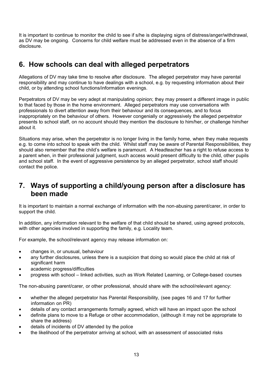It is important to continue to monitor the child to see if s/he is displaying signs of distress/anger/withdrawal, as DV may be ongoing. Concerns for child welfare must be addressed even in the absence of a firm disclosure.

## **6. How schools can deal with alleged perpetrators**

Allegations of DV may take time to resolve after disclosure. The alleged perpetrator may have parental responsibility and may continue to have dealings with a school, e.g. by requesting information about their child, or by attending school functions/information evenings.

Perpetrators of DV may be very adept at manipulating opinion; they may present a different image in public to that faced by those in the home environment. Alleged perpetrators may use conversations with professionals to divert attention away from their behaviour and its consequences, and to focus inappropriately on the behaviour of others. However congenially or aggressively the alleged perpetrator presents to school staff, on no account should they mention the disclosure to him/her, or challenge him/her about it.

Situations may arise, when the perpetrator is no longer living in the family home, when they make requests e.g. to come into school to speak with the child. Whilst staff may be aware of Parental Responsibilities, they should also remember that the child's welfare is paramount. A Headteacher has a right to refuse access to a parent when, in their professional judgment, such access would present difficulty to the child, other pupils and school staff. In the event of aggressive persistence by an alleged perpetrator, school staff should contact the police.

## **7. Ways of supporting a child/young person after a disclosure has been made**

It is important to maintain a normal exchange of information with the non-abusing parent/carer, in order to support the child.

In addition, any information relevant to the welfare of that child should be shared, using agreed protocols, with other agencies involved in supporting the family, e.g. Locality team.

For example, the school/relevant agency may release information on:

- changes in, or unusual, behaviour
- any further disclosures, unless there is a suspicion that doing so would place the child at risk of significant harm
- academic progress/difficulties
- progress with school linked activities, such as Work Related Learning, or College-based courses

The non-abusing parent/carer, or other professional, should share with the school/relevant agency:

- whether the alleged perpetrator has Parental Responsibility, (see pages 16 and 17 for further information on PR)
- details of any contact arrangements formally agreed, which will have an impact upon the school
- definite plans to move to a Refuge or other accommodation, (although it may not be appropriate to share the address)
- details of incidents of DV attended by the police
- the likelihood of the perpetrator arriving at school, with an assessment of associated risks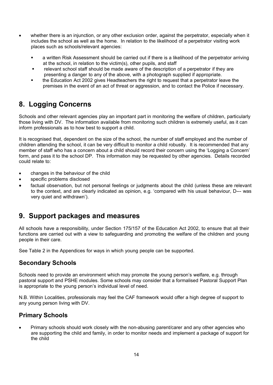- whether there is an injunction, or any other exclusion order, against the perpetrator, especially when it includes the school as well as the home. In relation to the likelihood of a perpetrator visiting work places such as schools/relevant agencies:
	- a written Risk Assessment should be carried out if there is a likelihood of the perpetrator arriving at the school, in relation to the victim(s), other pupils, and staff
	- relevant school staff should be made aware of the description of a perpetrator if they are presenting a danger to any of the above, with a photograph supplied if appropriate.
	- the Education Act 2002 gives Headteachers the right to request that a perpetrator leave the premises in the event of an act of threat or aggression, and to contact the Police if necessary.

## **8. Logging Concerns**

Schools and other relevant agencies play an important part in monitoring the welfare of children, particularly those living with DV. The information available from monitoring such children is extremely useful, as it can inform professionals as to how best to support a child.

It is recognised that, dependent on the size of the school, the number of staff employed and the number of children attending the school, it can be very difficult to monitor a child robustly. It is recommended that any member of staff who has a concern about a child should record their concern using the 'Logging a Concern' form, and pass it to the school DP. This information may be requested by other agencies. Details recorded could relate to:

- changes in the behaviour of the child
- specific problems disclosed
- factual observation, but not personal feelings or judgments about the child (unless these are relevant to the context, and are clearly indicated as opinion, e.g. 'compared with his usual behaviour, D--- was very quiet and withdrawn').

## **9. Support packages and measures**

All schools have a responsibility, under Section 175/157 of the Education Act 2002, to ensure that all their functions are carried out with a view to safeguarding and promoting the welfare of the children and young people in their care.

See Table 2 in the Appendices for ways in which young people can be supported.

#### **Secondary Schools**

Schools need to provide an environment which may promote the young person's welfare, e.g. through pastoral support and PSHE modules. Some schools may consider that a formalised Pastoral Support Plan is appropriate to the young person's individual level of need.

N.B. Within Localities, professionals may feel the CAF framework would offer a high degree of support to any young person living with DV.

#### **Primary Schools**

 Primary schools should work closely with the non-abusing parent/carer and any other agencies who are supporting the child and family, in order to monitor needs and implement a package of support for the child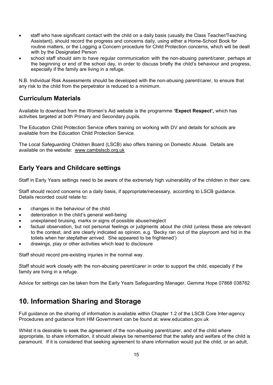- staff who have significant contact with the child on a daily basis (usually the Class Teacher/Teaching Assistant), should record the progress and concerns daily, using either a Home-School Book for routine matters, or the Logging a Concern procedure for Child Protection concerns, which will be dealt with by the Designated Person
- school staff should aim to have regular communication with the non-abusing parent/carer, perhaps at the beginning or end of the school day, in order to discuss briefly the child's behaviour and progress, especially if the family are living in a refuge.

N.B. Individual Risk Assessments should be developed with the non-abusing parent/carer, to ensure that any risk to the child from the perpetrator is reduced to a minimum.

#### **Curriculum Materials**

Available to download from the Women's Aid website is the programme **'Expect Respect',** which has activities targeted at both Primary and Secondary pupils.

The Education Child Protection Service offers training on working with DV and details for schools are available from the Education Child Protection Service.

The Local Safeguarding Children Board (LSCB) also offers training on Domestic Abuse. Details are available on the website: [www.cambslscb.org.uk](http://www.cambslscb.org.uk/)

## **Early Years and Childcare settings**

Staff in Early Years settings need to be aware of the extremely high vulnerability of the children in their care.

Staff should record concerns on a daily basis, if appropriate/necessary, according to LSCB guidance. Details recorded could relate to:

- changes in the behaviour of the child
- deterioration in the child's general well-being
- unexplained bruising, marks or signs of possible abuse/neglect
- factual observation, but not personal feelings or judgments about the child (unless these are relevant to the context, and are clearly indicated as opinion, e.g. 'Becky ran out of the playroom and hid in the toilets when her stepfather arrived. She appeared to be frightened')
- drawings, play or other activities which lead to disclosure

Staff should record pre-existing injuries in the normal way.

Staff should work closely with the non-abusing parent/carer in order to support the child, especially if the family are living in a refuge.

Advice for settings can be taken from the Early Years Safeguarding Manager, Gemma Hope 07868 038762

## **10. Information Sharing and Storage**

Full guidance on the sharing of information is available within Chapter 1.2 of the LSCB Core Inter-agency Procedures and guidance from HM Government can be found at: [www.education.gov.uk](http://www.education.gov.uk/)

Whilst it is desirable to seek the agreement of the non-abusing parent/carer, and of the child where appropriate, to share information, it should always be remembered that the safety and welfare of the child is paramount. If it is considered that seeking agreement to share information would put the child, or an adult,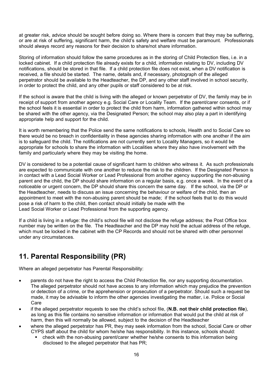at greater risk, advice should be sought before doing so. Where there is concern that they may be suffering, or are at risk of suffering, significant harm, the child's safety and welfare must be paramount. Professionals should always record any reasons for their decision to share/not share information.

Storing of information should follow the same procedures as in the storing of Child Protection files, i.e. in a locked cabinet. If a child protection file already exists for a child, information relating to DV, including DV notifications, should be stored in that file. If a child protection file does not exist, when a DV notification is received, a file should be started. The name, details and, if necessary, photograph of the alleged perpetrator should be available to the Headteacher, the DP, and any other staff involved in school security, in order to protect the child, and any other pupils or staff considered to be at risk.

If the school is aware that the child is living with the alleged or known perpetrator of DV, the family may be in receipt of support from another agency e.g. Social Care or Locality Team. If the parent/carer consents, or if the school feels it is essential in order to protect the child from harm, information gathered within school may be shared with the other agency, via the Designated Person; the school may also play a part in identifying appropriate help and support for the child.

It is worth remembering that the Police send the same notifications to schools, Health and to Social Care so there would be no breach in confidentiality in these agencies sharing information with one another if the aim is to safeguard the child. The notifications are not currently sent to Locality Managers, so it would be appropriate for schools to share the information with Localities where they also have involvement with the family and particularly where they may be visiting the home.

DV is considered to be a potential cause of significant harm to children who witness it. As such professionals are expected to communicate with one another to reduce the risk to the children. If the Designated Person is in contact with a Lead Social Worker or Lead Professional from another agency supporting the non-abusing parent and the child, the DP should share information on a regular basis, e.g. once a week. In the event of a noticeable or urgent concern, the DP should share this concern the same day. If the school, via the DP or the Headteacher, needs to discuss an issue concerning the behaviour or welfare of the child, then an appointment to meet with the non-abusing parent should be made; if the school feels that to do this would pose a risk of harm to the child, then contact should initially be made with the Lead Social Worker or Lead Professional from the supporting agency.

If a child is living in a refuge: the child's school file will not disclose the refuge address; the Post Office box number may be written on the file. The Headteacher and the DP may hold the actual address of the refuge, which must be locked in the cabinet with the CP Records and should not be shared with other personnel under any circumstances.

## **11. Parental Responsibility (PR)**

Where an alleged perpetrator has Parental Responsibility:

- parents do not have the right to access the Child Protection file, nor any supporting documentation. The alleged perpetrator should not have access to any information which may prejudice the prevention or detection of a crime, or the apprehension or prosecution of a perpetrator. Should such a request be made, it may be advisable to inform the other agencies investigating the matter, i.e. Police or Social Care
- if the alleged perpetrator requests to see the child's school file, (**N.B. not their child protection file**), as long as this file contains no sensitive information or information that would put the child at risk of harm, then this will normally be allowed, subject to the decision of the Headteacher
- where the alleged perpetrator has PR, they may seek information from the school, Social Care or other CYPS staff about the child for whom he/she has responsibility. In this instance, schools should:
	- check with the non-abusing parent/carer whether he/she consents to this information being disclosed to the alleged perpetrator that has PR;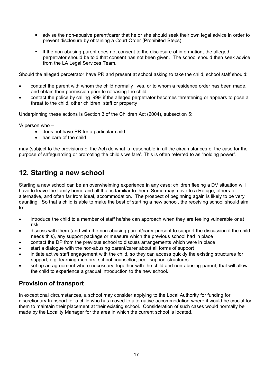- advise the non-abusive parent/carer that he or she should seek their own legal advice in order to prevent disclosure by obtaining a Court Order (Prohibited Steps).
- If the non-abusing parent does not consent to the disclosure of information, the alleged perpetrator should be told that consent has not been given. The school should then seek advice from the LA Legal Services Team.

Should the alleged perpetrator have PR and present at school asking to take the child, school staff should:

- contact the parent with whom the child normally lives, or to whom a residence order has been made, and obtain their permission prior to releasing the child
- contact the police by calling '999' if the alleged perpetrator becomes threatening or appears to pose a threat to the child, other children, staff or property

Underpinning these actions is Section 3 of the Children Act (2004), subsection 5:

'A person who –

- does not have PR for a particular child
- has care of the child

may (subject to the provisions of the Act) do what is reasonable in all the circumstances of the case for the purpose of safeguarding or promoting the child's welfare'. This is often referred to as "holding power".

## **12. Starting a new school**

Starting a new school can be an overwhelming experience in any case; children fleeing a DV situation will have to leave the family home and all that is familiar to them. Some may move to a Refuge, others to alternative, and often far from ideal, accommodation. The prospect of beginning again is likely to be very daunting. So that a child is able to make the best of starting a new school, the receiving school should aim to:

- introduce the child to a member of staff he/she can approach when they are feeling vulnerable or at risk
- discuss with them (and with the non-abusing parent/carer present to support the discussion if the child needs this), any support package or measure which the previous school had in place
- contact the DP from the previous school to discuss arrangements which were in place
- start a dialogue with the non-abusing parent/carer about all forms of support
- initiate active staff engagement with the child, so they can access quickly the existing structures for support, e.g. learning mentors, school counsellor, peer-support structures
- set up an agreement where necessary, together with the child and non-abusing parent, that will allow the child to experience a gradual introduction to the new school.

#### **Provision of transport**

In exceptional circumstances, a school may consider applying to the Local Authority for funding for discretionary transport for a child who has moved to alternative accommodation where it would be crucial for them to maintain their placement at their existing school. Consideration of such cases would normally be made by the Locality Manager for the area in which the current school is located.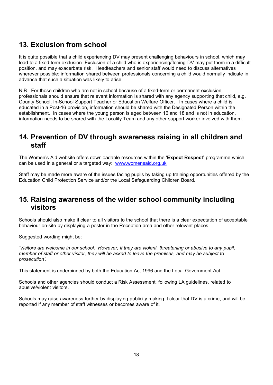## **13. Exclusion from school**

It is quite possible that a child experiencing DV may present challenging behaviours in school, which may lead to a fixed term exclusion. Exclusion of a child who is experiencing/fleeing DV may put them in a difficult position, and may exacerbate risk. Headteachers and senior staff would need to discuss alternatives wherever possible; information shared between professionals concerning a child would normally indicate in advance that such a situation was likely to arise.

N.B. For those children who are not in school because of a fixed-term or permanent exclusion, professionals should ensure that relevant information is shared with any agency supporting that child, e.g. County School, In-School Support Teacher or Education Welfare Officer. In cases where a child is educated in a Post-16 provision, information should be shared with the Designated Person within the establishment. In cases where the young person is aged between 16 and 18 and is not in education, information needs to be shared with the Locality Team and any other support worker involved with them.

## **14. Prevention of DV through awareness raising in all children and staff**

The Women's Aid website offers downloadable resources within the '**Expect Respect**' programme which can be used in a general or a targeted way: [www.womensaid.org.uk](http://www.womensaid.org.uk/)

Staff may be made more aware of the issues facing pupils by taking up training opportunities offered by the Education Child Protection Service and/or the Local Safeguarding Children Board.

## **15. Raising awareness of the wider school community including visitors**

Schools should also make it clear to all visitors to the school that there is a clear expectation of acceptable behaviour on-site by displaying a poster in the Reception area and other relevant places.

Suggested wording might be:

*'Visitors are welcome in our school. However, if they are violent, threatening or abusive to any pupil,*  member of staff or other visitor, they will be asked to leave the premises, and may be subject to *prosecution'.*

This statement is underpinned by both the Education Act 1996 and the Local Government Act.

Schools and other agencies should conduct a Risk Assessment, following LA guidelines, related to abusive/violent visitors.

Schools may raise awareness further by displaying publicity making it clear that DV is a crime, and will be reported if any member of staff witnesses or becomes aware of it.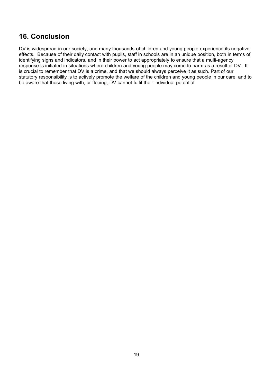## **16. Conclusion**

DV is widespread in our society, and many thousands of children and young people experience its negative effects. Because of their daily contact with pupils, staff in schools are in an unique position, both in terms of identifying signs and indicators, and in their power to act appropriately to ensure that a multi-agency response is initiated in situations where children and young people may come to harm as a result of DV. It is crucial to remember that DV is a crime, and that we should always perceive it as such. Part of our statutory responsibility is to actively promote the welfare of the children and young people in our care, and to be aware that those living with, or fleeing, DV cannot fulfil their individual potential.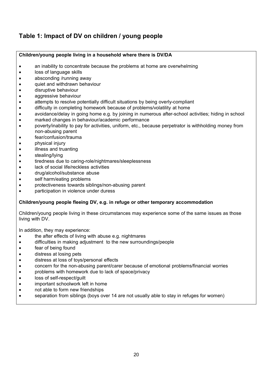## **Table 1: Impact of DV on children / young people**

#### **Children/young people living in a household where there is DV/DA**

- an inability to concentrate because the problems at home are overwhelming
- loss of language skills
- absconding /running away
- quiet and withdrawn behaviour
- disruptive behaviour
- aggressive behaviour
- attempts to resolve potentially difficult situations by being overly-compliant
- difficulty in completing homework because of problems/volatility at home
- avoidance/delay in going home e.g. by joining in numerous after-school activities; hiding in school
- marked changes in behaviour/academic performance
- poverty/inability to pay for activities, uniform, etc., because perpetrator is withholding money from non-abusing parent
- fear/confusion/trauma
- physical injury
- illness and truanting
- stealing/lying
- **•** tiredness due to caring-role/nightmares/sleeplessness
- lack of social life/reckless activities
- drug/alcohol/substance abuse
- self harm/eating problems
- protectiveness towards siblings/non-abusing parent
- participation in violence under duress

#### **Children/young people fleeing DV, e.g. in refuge or other temporary accommodation**

Children/young people living in these circumstances may experience some of the same issues as those living with DV.

In addition, they may experience:

- the after effects of living with abuse e.g. nightmares
- difficulties in making adjustment to the new surroundings/people
- fear of being found
- distress at losing pets
- distress at loss of toys/personal effects
- concern for the non-abusing parent/carer because of emotional problems/financial worries
- problems with homework due to lack of space/privacy
- loss of self-respect/guilt
- important schoolwork left in home
- not able to form new friendships
- separation from siblings (boys over 14 are not usually able to stay in refuges for women)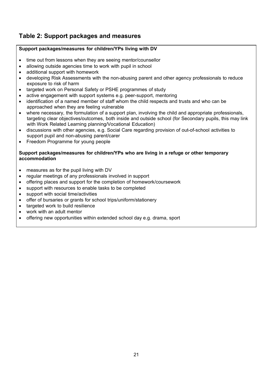## **Table 2: Support packages and measures**

#### **Support packages/measures for children/YPs living with DV**

- time out from lessons when they are seeing mentor/counsellor
- allowing outside agencies time to work with pupil in school
- additional support with homework
- developing Risk Assessments with the non-abusing parent and other agency professionals to reduce exposure to risk of harm
- targeted work on Personal Safety or PSHE programmes of study
- active engagement with support systems e.g. peer-support, mentoring
- identification of a named member of staff whom the child respects and trusts and who can be approached when they are feeling vulnerable
- where necessary, the formulation of a support plan, involving the child and appropriate professionals, targeting clear objectives/outcomes, both inside and outside school (for Secondary pupils, this may link with Work Related Learning planning/Vocational Education)
- discussions with other agencies, e.g. Social Care regarding provision of out-of-school activities to support pupil and non-abusing parent/carer
- Freedom Programme for young people

#### **Support packages/measures for children/YPs who are living in a refuge or other temporary accommodation**

- measures as for the pupil living with DV
- regular meetings of any professionals involved in support
- offering places and support for the completion of homework/coursework
- support with resources to enable tasks to be completed
- support with social time/activities
- offer of bursaries or grants for school trips/uniform/stationery
- targeted work to build resilience
- work with an adult mentor
- offering new opportunities within extended school day e.g. drama, sport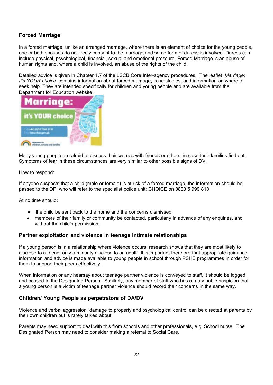#### **Forced Marriage**

In a forced marriage, unlike an arranged marriage, where there is an element of choice for the young people, one or both spouses do not freely consent to the marriage and some form of duress is involved. Duress can include physical, psychological, financial, sexual and emotional pressure. Forced Marriage is an abuse of human rights and, where a child is involved, an abuse of the rights of the child.

Detailed advice is given in Chapter 1.7 of the LSCB Core Inter-agency procedures. The leaflet '*Marriage: It's YOUR choice'* contains information about forced marriage, case studies, and information on where to seek help. They are intended specifically for children and young people and are available from the Department for Education website.



Many young people are afraid to discuss their worries with friends or others, in case their families find out. Symptoms of fear in these circumstances are very similar to other possible signs of DV.

#### How to respond:

If anyone suspects that a child (male or female) is at risk of a forced marriage, the information should be passed to the DP, who will refer to the specialist police unit: CHOICE on 0800 5 999 818.

At no time should:

- the child be sent back to the home and the concerns dismissed;
- members of their family or community be contacted, particularly in advance of any enquiries, and without the child's permission;

#### **Partner exploitation and violence in teenage intimate relationships**

If a young person is in a relationship where violence occurs, research shows that they are most likely to disclose to a friend; only a minority disclose to an adult. It is important therefore that appropriate guidance, information and advice is made available to young people in school through PSHE programmes in order for them to support their peers effectively.

When information or any hearsay about teenage partner violence is conveyed to staff, it should be logged and passed to the Designated Person. Similarly, any member of staff who has a reasonable suspicion that a young person is a victim of teenage partner violence should record their concerns in the same way.

#### **Children/ Young People as perpetrators of DA/DV**

Violence and verbal aggression, damage to property and psychological control can be directed at parents by their own children but is rarely talked about.

Parents may need support to deal with this from schools and other professionals, e.g. School nurse. The Designated Person may need to consider making a referral to Social Care.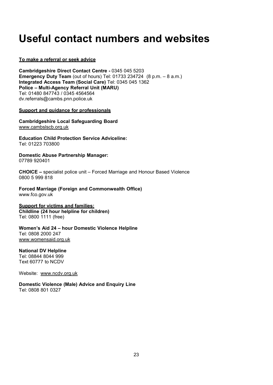# **Useful contact numbers and websites**

#### **To make a referral or seek advice**

**Cambridgeshire Direct Contact Centre -** 0345 045 5203 **Emergency Duty Team** (out of hours) Tel: 01733 234724 (8 p.m. – 8 a.m.) **Integrated Access Team (Social Care)** Tel: 0345 045 1362 **Police – Multi-Agency Referral Unit (MARU)**  Tel: 01480 847743 / 0345 456456[4](mailto:dv.referrals@cambs.pnn.police.uk) [dv.referrals@cambs.pnn.police.uk](mailto:dv.referrals@cambs.pnn.police.uk)

#### **Support and guidance for professionals**

**Cambridgeshire Local Safeguarding Board** [www.cambslscb.org.uk](http://www.cambslscb.org.uk/)

**Education Child Protection Service Adviceline:** Tel: 01223 703800

**Domestic Abuse Partnership Manager:** 07789 920401

**CHOICE –** specialist police unit – Forced Marriage and Honour Based Violence 0800 5 999 818

**Forced Marriage (Foreign and Commonwealth Office)** [www.fco.gov.uk](http://www.fco.gov.uk/)

#### **Support for victims and families: Childline (24 hour helpline for children)**

Tel: 0800 1111 (free)

#### **Women's Aid 24 – hour Domestic Violence Helpline**

Tel: 0808 2000 247 [www.womensaid.org.uk](http://www.womensaid.org.uk/)

#### **National DV Helpline**

Tel: 08844 8044 999 Text 60777 to NCDV

Website: [www.ncdv.org.uk](http://www.ncdv.org.uk/)

**Domestic Violence (Male) Advice and Enquiry Line** Tel: 0808 801 0327